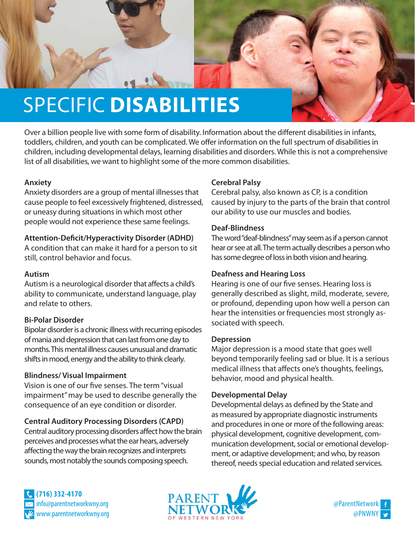

Over a billion people live with some form of disability. Information about the different disabilities in infants, toddlers, children, and youth can be complicated. We offer information on the full spectrum of disabilities in children, including developmental delays, learning disabilities and disorders. While this is not a comprehensive list of all disabilities, we want to highlight some of the more common disabilities.

### **Anxiety**

Anxiety disorders are a group of mental illnesses that cause people to feel excessively frightened, distressed, or uneasy during situations in which most other people would not experience these same feelings.

# **Attention-Deficit/Hyperactivity Disorder (ADHD)**

A condition that can make it hard for a person to sit still, control behavior and focus.

### **Autism**

Autism is a neurological disorder that affects a child's ability to communicate, understand language, play and relate to others.

# **Bi-Polar Disorder**

Bipolar disorder is a chronic illness with recurring episodes of mania and depression that can last from one day to months. This mental illness causes unusual and dramatic shifts in mood, energy and the ability to think clearly.

### **Blindness/ Visual Impairment**

Vision is one of our five senses. The term "visual impairment" may be used to describe generally the consequence of an eye condition or disorder.

# **Central Auditory Processing Disorders (CAPD)**

Central auditory processing disorders affect how the brain perceives and processes what the ear hears, adversely affecting the way the brain recognizes and interprets sounds, most notably the sounds composing speech.

# **Cerebral Palsy**

Cerebral palsy, also known as CP, is a condition caused by injury to the parts of the brain that control our ability to use our muscles and bodies.

### **Deaf-Blindness**

The word "deaf-blindness" may seem as if a person cannot hear or see at all. The term actually describes a person who has some degree of loss in both vision and hearing.

# **Deafness and Hearing Loss**

Hearing is one of our five senses. Hearing loss is generally described as slight, mild, moderate, severe, or profound, depending upon how well a person can hear the intensities or frequencies most strongly associated with speech.

### **Depression**

Major depression is a mood state that goes well beyond temporarily feeling sad or blue. It is a serious medical illness that affects one's thoughts, feelings, behavior, mood and physical health.

### **Developmental Delay**

Developmental delays as defined by the State and as measured by appropriate diagnostic instruments and procedures in one or more of the following areas: physical development, cognitive development, communication development, social or emotional development, or adaptive development; and who, by reason thereof, needs special education and related services.

**(716) 332-4170** www.parentnetworkwny.org